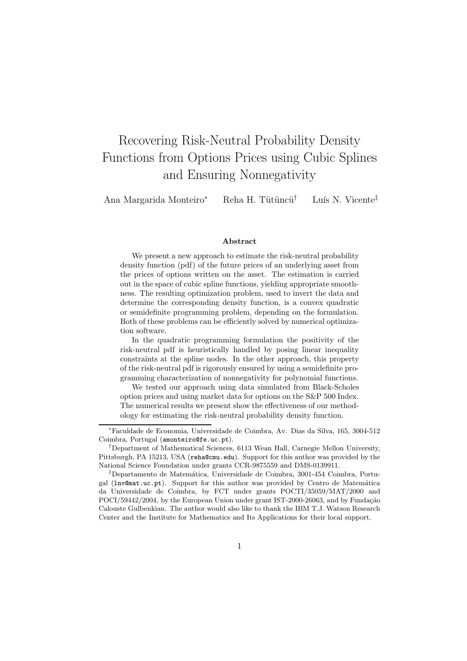# Recovering Risk-Neutral Probability Density Functions from Options Prices using Cubic Splines and Ensuring Nonnegativity

Ana Margarida Monteiro<sup>∗</sup> Reha H. Tütüncü<sup>†</sup> Luís N. Vicente<sup>‡</sup>

#### Abstract

We present a new approach to estimate the risk-neutral probability density function (pdf) of the future prices of an underlying asset from the prices of options written on the asset. The estimation is carried out in the space of cubic spline functions, yielding appropriate smoothness. The resulting optimization problem, used to invert the data and determine the corresponding density function, is a convex quadratic or semidefinite programming problem, depending on the formulation. Both of these problems can be efficiently solved by numerical optimization software.

In the quadratic programming formulation the positivity of the risk-neutral pdf is heuristically handled by posing linear inequality constraints at the spline nodes. In the other approach, this property of the risk-neutral pdf is rigorously ensured by using a semidefinite programming characterization of nonnegativity for polynomial functions.

We tested our approach using data simulated from Black-Scholes option prices and using market data for options on the S&P 500 Index. The numerical results we present show the effectiveness of our methodology for estimating the risk-neutral probability density function.

<sup>∗</sup>Faculdade de Economia, Universidade de Coimbra, Av. Dias da Silva, 165, 3004-512 Coimbra, Portugal (amonteiro@fe.uc.pt).

<sup>†</sup>Department of Mathematical Sciences, 6113 Wean Hall, Carnegie Mellon University, Pittsburgh, PA 15213, USA (reha@cmu.edu). Support for this author was provided by the National Science Foundation under grants CCR-9875559 and DMS-0139911.

 $^{\ddagger}$ Departamento de Matemática, Universidade de Coimbra, 3001-454 Coimbra, Portugal (lnv@mat.uc.pt). Support for this author was provided by Centro de Matemática da Universidade de Coimbra, by FCT under grants POCTI/35059/MAT/2000 and POCI/59442/2004, by the European Union under grant IST-2000-26063, and by Fundação Calouste Gulbenkian. The author would also like to thank the IBM T.J. Watson Research Center and the Institute for Mathematics and Its Applications for their local support.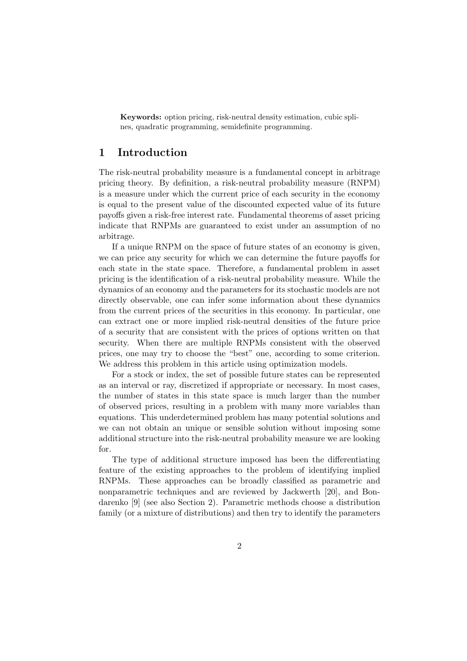Keywords: option pricing, risk-neutral density estimation, cubic splines, quadratic programming, semidefinite programming.

# 1 Introduction

The risk-neutral probability measure is a fundamental concept in arbitrage pricing theory. By definition, a risk-neutral probability measure (RNPM) is a measure under which the current price of each security in the economy is equal to the present value of the discounted expected value of its future payoffs given a risk-free interest rate. Fundamental theorems of asset pricing indicate that RNPMs are guaranteed to exist under an assumption of no arbitrage.

If a unique RNPM on the space of future states of an economy is given, we can price any security for which we can determine the future payoffs for each state in the state space. Therefore, a fundamental problem in asset pricing is the identification of a risk-neutral probability measure. While the dynamics of an economy and the parameters for its stochastic models are not directly observable, one can infer some information about these dynamics from the current prices of the securities in this economy. In particular, one can extract one or more implied risk-neutral densities of the future price of a security that are consistent with the prices of options written on that security. When there are multiple RNPMs consistent with the observed prices, one may try to choose the "best" one, according to some criterion. We address this problem in this article using optimization models.

For a stock or index, the set of possible future states can be represented as an interval or ray, discretized if appropriate or necessary. In most cases, the number of states in this state space is much larger than the number of observed prices, resulting in a problem with many more variables than equations. This underdetermined problem has many potential solutions and we can not obtain an unique or sensible solution without imposing some additional structure into the risk-neutral probability measure we are looking for.

The type of additional structure imposed has been the differentiating feature of the existing approaches to the problem of identifying implied RNPMs. These approaches can be broadly classified as parametric and nonparametric techniques and are reviewed by Jackwerth [20], and Bondarenko [9] (see also Section 2). Parametric methods choose a distribution family (or a mixture of distributions) and then try to identify the parameters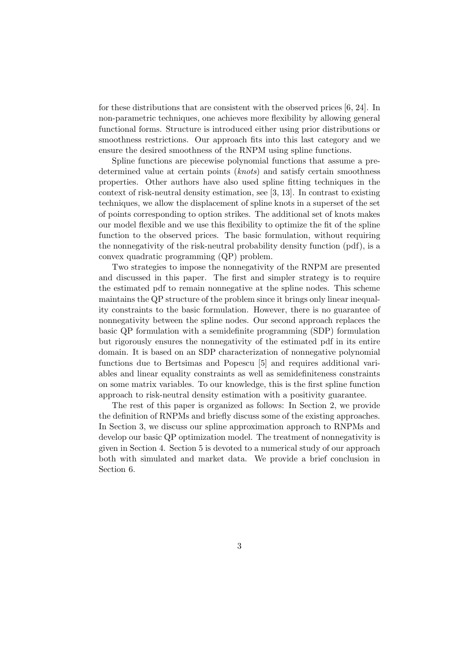for these distributions that are consistent with the observed prices [6, 24]. In non-parametric techniques, one achieves more flexibility by allowing general functional forms. Structure is introduced either using prior distributions or smoothness restrictions. Our approach fits into this last category and we ensure the desired smoothness of the RNPM using spline functions.

Spline functions are piecewise polynomial functions that assume a predetermined value at certain points (knots) and satisfy certain smoothness properties. Other authors have also used spline fitting techniques in the context of risk-neutral density estimation, see [3, 13]. In contrast to existing techniques, we allow the displacement of spline knots in a superset of the set of points corresponding to option strikes. The additional set of knots makes our model flexible and we use this flexibility to optimize the fit of the spline function to the observed prices. The basic formulation, without requiring the nonnegativity of the risk-neutral probability density function (pdf), is a convex quadratic programming (QP) problem.

Two strategies to impose the nonnegativity of the RNPM are presented and discussed in this paper. The first and simpler strategy is to require the estimated pdf to remain nonnegative at the spline nodes. This scheme maintains the QP structure of the problem since it brings only linear inequality constraints to the basic formulation. However, there is no guarantee of nonnegativity between the spline nodes. Our second approach replaces the basic QP formulation with a semidefinite programming (SDP) formulation but rigorously ensures the nonnegativity of the estimated pdf in its entire domain. It is based on an SDP characterization of nonnegative polynomial functions due to Bertsimas and Popescu [5] and requires additional variables and linear equality constraints as well as semidefiniteness constraints on some matrix variables. To our knowledge, this is the first spline function approach to risk-neutral density estimation with a positivity guarantee.

The rest of this paper is organized as follows: In Section 2, we provide the definition of RNPMs and briefly discuss some of the existing approaches. In Section 3, we discuss our spline approximation approach to RNPMs and develop our basic QP optimization model. The treatment of nonnegativity is given in Section 4. Section 5 is devoted to a numerical study of our approach both with simulated and market data. We provide a brief conclusion in Section 6.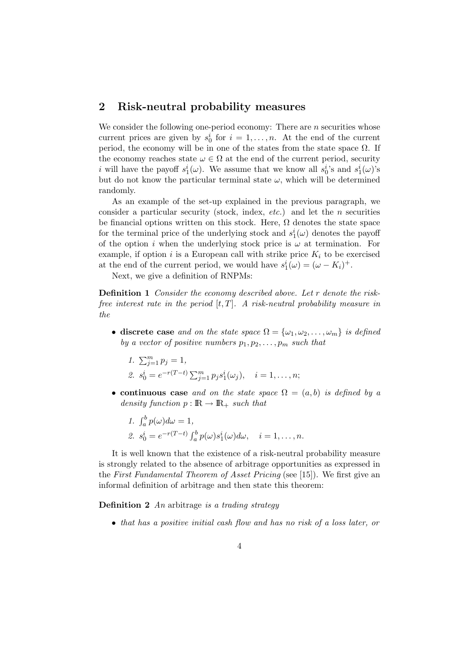# 2 Risk-neutral probability measures

We consider the following one-period economy: There are  $n$  securities whose current prices are given by  $s_0^i$  for  $i = 1, ..., n$ . At the end of the current period, the economy will be in one of the states from the state space Ω. If the economy reaches state  $\omega \in \Omega$  at the end of the current period, security *i* will have the payoff  $s_1^i(\omega)$ . We assume that we know all  $s_0^i$ 's and  $s_1^i(\omega)$ 's but do not know the particular terminal state  $\omega$ , which will be determined randomly.

As an example of the set-up explained in the previous paragraph, we consider a particular security (stock, index,  $etc.$ ) and let the *n* securities be financial options written on this stock. Here,  $\Omega$  denotes the state space for the terminal price of the underlying stock and  $s_1^i(\omega)$  denotes the payoff of the option i when the underlying stock price is  $\omega$  at termination. For example, if option i is a European call with strike price  $K_i$  to be exercised at the end of the current period, we would have  $s_1^i(\omega) = (\omega - K_i)^+$ .

Next, we give a definition of RNPMs:

Definition 1 Consider the economy described above. Let r denote the riskfree interest rate in the period  $[t, T]$ . A risk-neutral probability measure in the

- discrete case and on the state space  $\Omega = {\omega_1, \omega_2, \ldots, \omega_m}$  is defined by a vector of positive numbers  $p_1, p_2, \ldots, p_m$  such that
	- 1.  $\sum_{j=1}^{m} p_j = 1$ , 2.  $s_0^i = e^{-r(T-t)} \sum_{j=1}^m p_j s_1^i(\omega_j), \quad i = 1, \ldots, n;$
- continuous case and on the state space  $\Omega = (a, b)$  is defined by a density function  $p : \mathbb{R} \to \mathbb{R}_+$  such that
	- 1.  $\int_a^b p(\omega) d\omega = 1$ , a 2.  $s_0^i = e^{-r(T-t)} \int_a^b p(\omega) s_1^i(\omega) d\omega, \quad i = 1, ..., n.$

It is well known that the existence of a risk-neutral probability measure is strongly related to the absence of arbitrage opportunities as expressed in the First Fundamental Theorem of Asset Pricing (see [15]). We first give an informal definition of arbitrage and then state this theorem:

**Definition 2** An arbitrage is a trading strategy

• that has a positive initial cash flow and has no risk of a loss later, or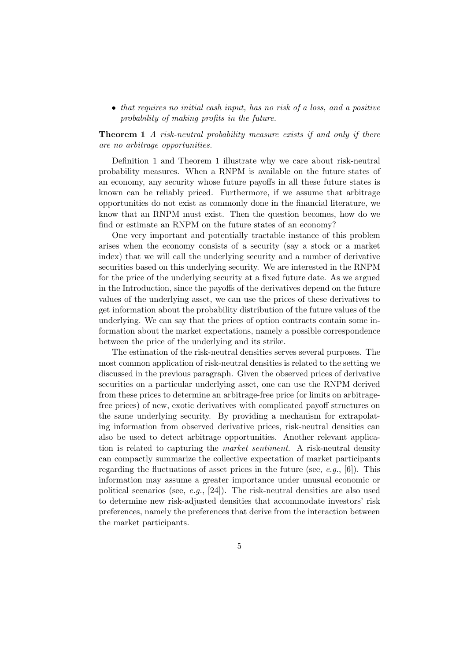• that requires no initial cash input, has no risk of a loss, and a positive probability of making profits in the future.

**Theorem 1** A risk-neutral probability measure exists if and only if there are no arbitrage opportunities.

Definition 1 and Theorem 1 illustrate why we care about risk-neutral probability measures. When a RNPM is available on the future states of an economy, any security whose future payoffs in all these future states is known can be reliably priced. Furthermore, if we assume that arbitrage opportunities do not exist as commonly done in the financial literature, we know that an RNPM must exist. Then the question becomes, how do we find or estimate an RNPM on the future states of an economy?

One very important and potentially tractable instance of this problem arises when the economy consists of a security (say a stock or a market index) that we will call the underlying security and a number of derivative securities based on this underlying security. We are interested in the RNPM for the price of the underlying security at a fixed future date. As we argued in the Introduction, since the payoffs of the derivatives depend on the future values of the underlying asset, we can use the prices of these derivatives to get information about the probability distribution of the future values of the underlying. We can say that the prices of option contracts contain some information about the market expectations, namely a possible correspondence between the price of the underlying and its strike.

The estimation of the risk-neutral densities serves several purposes. The most common application of risk-neutral densities is related to the setting we discussed in the previous paragraph. Given the observed prices of derivative securities on a particular underlying asset, one can use the RNPM derived from these prices to determine an arbitrage-free price (or limits on arbitragefree prices) of new, exotic derivatives with complicated payoff structures on the same underlying security. By providing a mechanism for extrapolating information from observed derivative prices, risk-neutral densities can also be used to detect arbitrage opportunities. Another relevant application is related to capturing the market sentiment. A risk-neutral density can compactly summarize the collective expectation of market participants regarding the fluctuations of asset prices in the future (see, e.g., [6]). This information may assume a greater importance under unusual economic or political scenarios (see, e.g., [24]). The risk-neutral densities are also used to determine new risk-adjusted densities that accommodate investors' risk preferences, namely the preferences that derive from the interaction between the market participants.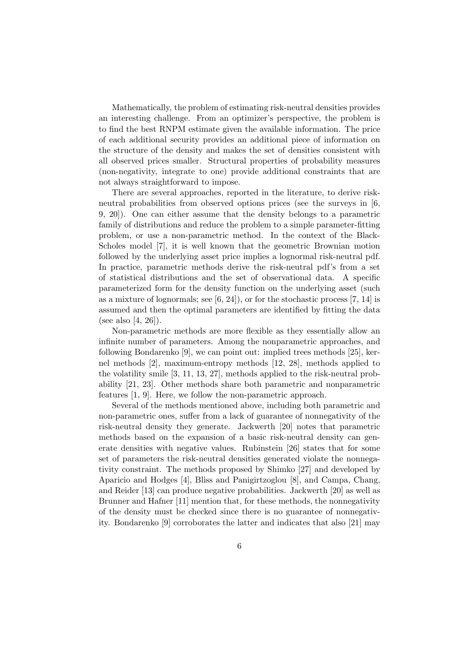Mathematically, the problem of estimating risk-neutral densities provides an interesting challenge. From an optimizer's perspective, the problem is to find the best RNPM estimate given the available information. The price of each additional security provides an additional piece of information on the structure of the density and makes the set of densities consistent with all observed prices smaller. Structural properties of probability measures (non-negativity, integrate to one) provide additional constraints that are not always straightforward to impose.

There are several approaches, reported in the literature, to derive riskneutral probabilities from observed options prices (see the surveys in [6, 9, 20]). One can either assume that the density belongs to a parametric family of distributions and reduce the problem to a simple parameter-fitting problem, or use a non-parametric method. In the context of the Black-Scholes model [7], it is well known that the geometric Brownian motion followed by the underlying asset price implies a lognormal risk-neutral pdf. In practice, parametric methods derive the risk-neutral pdf's from a set of statistical distributions and the set of observational data. A specific parameterized form for the density function on the underlying asset (such as a mixture of lognormals; see  $[6, 24]$ , or for the stochastic process  $[7, 14]$  is assumed and then the optimal parameters are identified by fitting the data (see also [4, 26]).

Non-parametric methods are more flexible as they essentially allow an infinite number of parameters. Among the nonparametric approaches, and following Bondarenko [9], we can point out: implied trees methods [25], kernel methods [2], maximum-entropy methods [12, 28], methods applied to the volatility smile [3, 11, 13, 27], methods applied to the risk-neutral probability [21, 23]. Other methods share both parametric and nonparametric features [1, 9]. Here, we follow the non-parametric approach.

Several of the methods mentioned above, including both parametric and non-parametric ones, suffer from a lack of guarantee of nonnegativity of the risk-neutral density they generate. Jackwerth [20] notes that parametric methods based on the expansion of a basic risk-neutral density can generate densities with negative values. Rubinstein [26] states that for some set of parameters the risk-neutral densities generated violate the nonnegativity constraint. The methods proposed by Shimko [27] and developed by Aparicio and Hodges [4], Bliss and Panigirtzoglou [8], and Campa, Chang, and Reider [13] can produce negative probabilities. Jackwerth [20] as well as Brunner and Hafner [11] mention that, for these methods, the nonnegativity of the density must be checked since there is no guarantee of nonnegativity. Bondarenko [9] corroborates the latter and indicates that also [21] may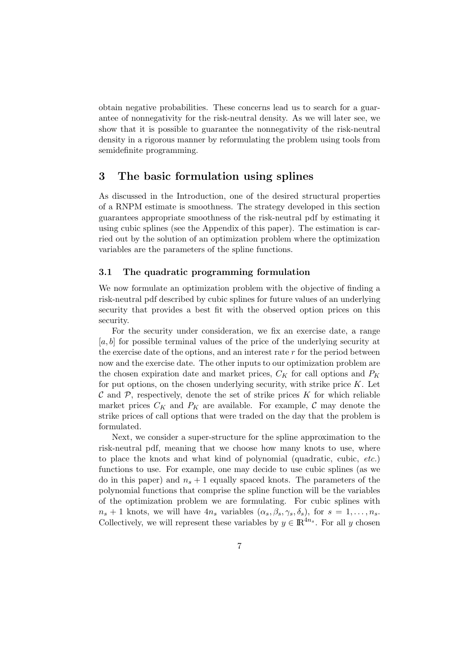obtain negative probabilities. These concerns lead us to search for a guarantee of nonnegativity for the risk-neutral density. As we will later see, we show that it is possible to guarantee the nonnegativity of the risk-neutral density in a rigorous manner by reformulating the problem using tools from semidefinite programming.

## 3 The basic formulation using splines

As discussed in the Introduction, one of the desired structural properties of a RNPM estimate is smoothness. The strategy developed in this section guarantees appropriate smoothness of the risk-neutral pdf by estimating it using cubic splines (see the Appendix of this paper). The estimation is carried out by the solution of an optimization problem where the optimization variables are the parameters of the spline functions.

#### 3.1 The quadratic programming formulation

We now formulate an optimization problem with the objective of finding a risk-neutral pdf described by cubic splines for future values of an underlying security that provides a best fit with the observed option prices on this security.

For the security under consideration, we fix an exercise date, a range  $[a, b]$  for possible terminal values of the price of the underlying security at the exercise date of the options, and an interest rate  $r$  for the period between now and the exercise date. The other inputs to our optimization problem are the chosen expiration date and market prices,  $C_K$  for call options and  $P_K$ for put options, on the chosen underlying security, with strike price  $K$ . Let C and  $P$ , respectively, denote the set of strike prices K for which reliable market prices  $C_K$  and  $P_K$  are available. For example, C may denote the strike prices of call options that were traded on the day that the problem is formulated.

Next, we consider a super-structure for the spline approximation to the risk-neutral pdf, meaning that we choose how many knots to use, where to place the knots and what kind of polynomial (quadratic, cubic, etc.) functions to use. For example, one may decide to use cubic splines (as we do in this paper) and  $n_s + 1$  equally spaced knots. The parameters of the polynomial functions that comprise the spline function will be the variables of the optimization problem we are formulating. For cubic splines with  $n_s + 1$  knots, we will have  $4n_s$  variables  $(\alpha_s, \beta_s, \gamma_s, \delta_s)$ , for  $s = 1, \ldots, n_s$ . Collectively, we will represent these variables by  $y \in \mathbb{R}^{4n_s}$ . For all y chosen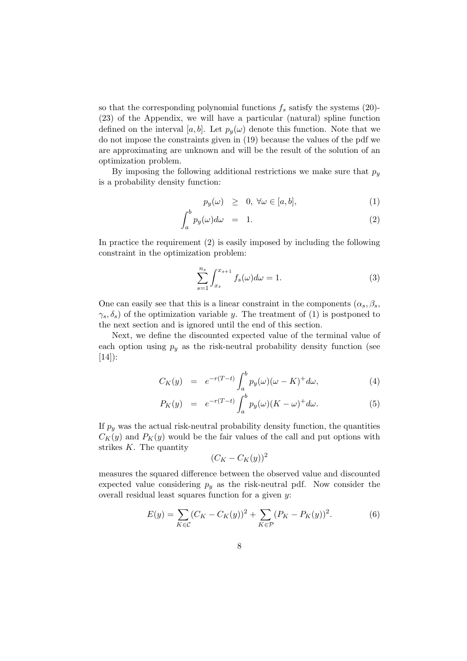so that the corresponding polynomial functions  $f_s$  satisfy the systems (20)-(23) of the Appendix, we will have a particular (natural) spline function defined on the interval [a, b]. Let  $p_y(\omega)$  denote this function. Note that we do not impose the constraints given in (19) because the values of the pdf we are approximating are unknown and will be the result of the solution of an optimization problem.

By imposing the following additional restrictions we make sure that  $p_y$ is a probability density function:

$$
p_y(\omega) \geq 0, \,\forall \omega \in [a, b], \tag{1}
$$

$$
\int_{a}^{b} p_y(\omega) d\omega = 1. \tag{2}
$$

In practice the requirement (2) is easily imposed by including the following constraint in the optimization problem:

$$
\sum_{s=1}^{n_s} \int_{x_s}^{x_{s+1}} f_s(\omega) d\omega = 1.
$$
 (3)

One can easily see that this is a linear constraint in the components  $(\alpha_s, \beta_s, \alpha_s)$  $\gamma_s, \delta_s$ ) of the optimization variable y. The treatment of (1) is postponed to the next section and is ignored until the end of this section.

Next, we define the discounted expected value of the terminal value of each option using  $p_y$  as the risk-neutral probability density function (see [14]):

$$
C_K(y) = e^{-r(T-t)} \int_a^b p_y(\omega) (\omega - K)^+ d\omega, \qquad (4)
$$

$$
P_K(y) = e^{-r(T-t)} \int_a^b p_y(\omega) (K - \omega)^+ d\omega.
$$
 (5)

If  $p_y$  was the actual risk-neutral probability density function, the quantities  $C_K(y)$  and  $P_K(y)$  would be the fair values of the call and put options with strikes  $K$ . The quantity

$$
(C_K - C_K(y))^2
$$

measures the squared difference between the observed value and discounted expected value considering  $p_y$  as the risk-neutral pdf. Now consider the overall residual least squares function for a given y:

$$
E(y) = \sum_{K \in \mathcal{C}} (C_K - C_K(y))^2 + \sum_{K \in \mathcal{P}} (P_K - P_K(y))^2.
$$
 (6)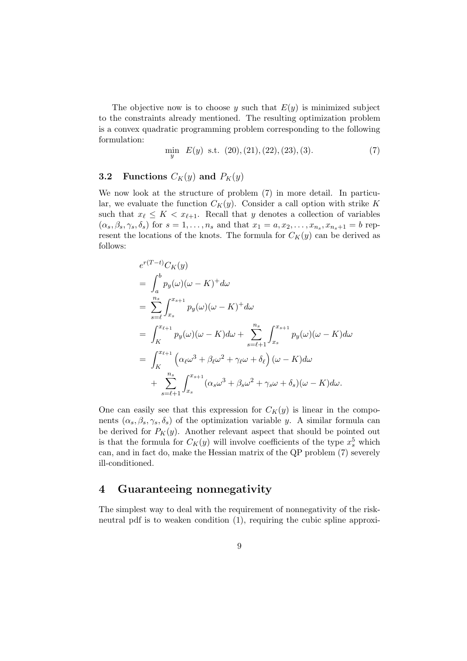The objective now is to choose y such that  $E(y)$  is minimized subject to the constraints already mentioned. The resulting optimization problem is a convex quadratic programming problem corresponding to the following formulation:

$$
\min_{y} E(y) \text{ s.t. } (20), (21), (22), (23), (3). \tag{7}
$$

## **3.2** Functions  $C_K(y)$  and  $P_K(y)$

We now look at the structure of problem (7) in more detail. In particular, we evaluate the function  $C_K(y)$ . Consider a call option with strike K such that  $x_{\ell} \leq K < x_{\ell+1}$ . Recall that y denotes a collection of variables  $(\alpha_s, \beta_s, \gamma_s, \delta_s)$  for  $s = 1, \ldots, n_s$  and that  $x_1 = a, x_2, \ldots, x_{n_s}, x_{n_s+1} = b$  represent the locations of the knots. The formula for  $C_K(y)$  can be derived as follows:

$$
e^{r(T-t)}C_K(y)
$$
  
=  $\int_a^b p_y(\omega)(\omega - K)^+d\omega$   
=  $\sum_{s=\ell}^{n_s} \int_{x_s}^{x_{s+1}} p_y(\omega)(\omega - K)^+d\omega$   
=  $\int_K^{x_{\ell+1}} p_y(\omega)(\omega - K)d\omega + \sum_{s=\ell+1}^{n_s} \int_{x_s}^{x_{s+1}} p_y(\omega)(\omega - K)d\omega$   
=  $\int_K^{x_{\ell+1}} (\alpha_\ell \omega^3 + \beta_\ell \omega^2 + \gamma_\ell \omega + \delta_\ell)(\omega - K)d\omega$   
+  $\sum_{s=\ell+1}^{n_s} \int_{x_s}^{x_{s+1}} (\alpha_s \omega^3 + \beta_s \omega^2 + \gamma_s \omega + \delta_s)(\omega - K)d\omega.$ 

One can easily see that this expression for  $C_K(y)$  is linear in the components  $(\alpha_s, \beta_s, \gamma_s, \delta_s)$  of the optimization variable y. A similar formula can be derived for  $P_K(y)$ . Another relevant aspect that should be pointed out is that the formula for  $C_K(y)$  will involve coefficients of the type  $x_s^5$  which can, and in fact do, make the Hessian matrix of the QP problem (7) severely ill-conditioned.

## 4 Guaranteeing nonnegativity

The simplest way to deal with the requirement of nonnegativity of the riskneutral pdf is to weaken condition (1), requiring the cubic spline approxi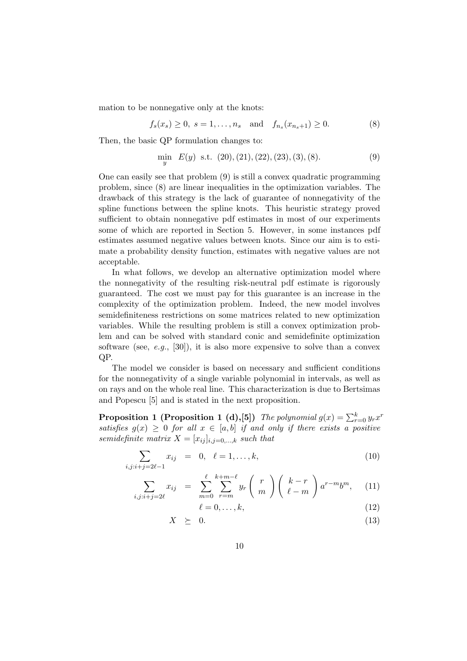mation to be nonnegative only at the knots:

$$
f_s(x_s) \ge 0, s = 1,..., n_s \text{ and } f_{n_s}(x_{n_s+1}) \ge 0.
$$
 (8)

Then, the basic QP formulation changes to:

$$
\min_{y} E(y) \text{ s.t. } (20), (21), (22), (23), (3), (8). \tag{9}
$$

One can easily see that problem (9) is still a convex quadratic programming problem, since (8) are linear inequalities in the optimization variables. The drawback of this strategy is the lack of guarantee of nonnegativity of the spline functions between the spline knots. This heuristic strategy proved sufficient to obtain nonnegative pdf estimates in most of our experiments some of which are reported in Section 5. However, in some instances pdf estimates assumed negative values between knots. Since our aim is to estimate a probability density function, estimates with negative values are not acceptable.

In what follows, we develop an alternative optimization model where the nonnegativity of the resulting risk-neutral pdf estimate is rigorously guaranteed. The cost we must pay for this guarantee is an increase in the complexity of the optimization problem. Indeed, the new model involves semidefiniteness restrictions on some matrices related to new optimization variables. While the resulting problem is still a convex optimization problem and can be solved with standard conic and semidefinite optimization software (see,  $e.g., [30]$ ), it is also more expensive to solve than a convex QP.

The model we consider is based on necessary and sufficient conditions for the nonnegativity of a single variable polynomial in intervals, as well as on rays and on the whole real line. This characterization is due to Bertsimas and Popescu [5] and is stated in the next proposition.

**Proposition 1 (Proposition 1 (d),**[5]) The polynomial  $g(x) = \sum_{r=0}^{k} y_r x^r$ satisfies  $g(x) \geq 0$  for all  $x \in [a, b]$  if and only if there exists a positive semidefinite matrix  $X = [x_{ij}]_{i,j=0,\dots,k}$  such that

$$
\sum_{i,j:i+j=2\ell-1} x_{ij} = 0, \quad \ell = 1,\dots,k,
$$
\n(10)

$$
\sum_{i,j:i+j=2\ell} x_{ij} = \sum_{m=0}^{\ell} \sum_{r=m}^{k+m-\ell} y_r \binom{r}{m} \binom{k-r}{\ell-m} a^{r-m} b^m, \quad (11)
$$

$$
\ell = 0, \dots, k,\tag{12}
$$

$$
X \geq 0. \tag{13}
$$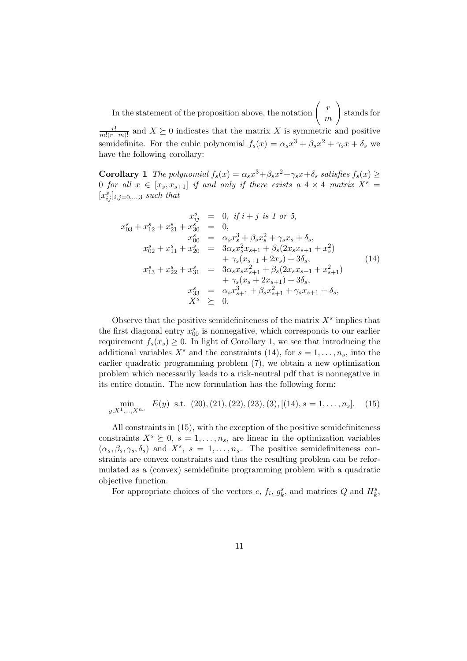In the statement of the proposition above, the notation  $\begin{pmatrix} r & r \end{pmatrix}$ m  $\setminus$ stands for  $\frac{r!}{m!(r-m)!}$  and  $X \succeq 0$  indicates that the matrix X is symmetric and positive semidefinite. For the cubic polynomial  $f_s(x) = \alpha_s x^3 + \beta_s x^2 + \gamma_s x + \delta_s$  we have the following corollary:

**Corollary 1** The polynomial  $f_s(x) = \alpha_s x^3 + \beta_s x^2 + \gamma_s x + \delta_s$  satisfies  $f_s(x) \ge$ 0 for all  $x \in [x_s, x_{s+1}]$  if and only if there exists a  $4 \times 4$  matrix  $X^s =$  $[x_{ij}^s]_{i,j=0,\ldots,3}$  such that

$$
x_{03}^{s} + x_{12}^{s} + x_{21}^{s} + x_{30}^{s} = 0, \quad if \ i + j \ is \ 1 \ or \ 5,
$$
  
\n
$$
x_{00}^{s} = 0, \quad x_{00}^{s} = \alpha_{s} x_{s}^{3} + \beta_{s} x_{s}^{2} + \gamma_{s} x_{s} + \delta_{s},
$$
  
\n
$$
x_{02}^{s} + x_{11}^{s} + x_{20}^{s} = 3\alpha_{s} x_{s}^{2} x_{s+1} + \beta_{s} (2x_{s} x_{s+1} + x_{s}^{2})
$$
  
\n
$$
+ \gamma_{s} (x_{s+1} + 2x_{s}) + 3\delta_{s},
$$
  
\n
$$
x_{13}^{s} + x_{22}^{s} + x_{31}^{s} = 3\alpha_{s} x_{s} x_{s+1}^{2} + \beta_{s} (2x_{s} x_{s+1} + x_{s+1}^{2})
$$
  
\n
$$
+ \gamma_{s} (x_{s} + 2x_{s+1}) + 3\delta_{s},
$$
  
\n
$$
x_{33}^{s} = \alpha_{s} x_{s+1}^{3} + \beta_{s} x_{s+1}^{2} + \gamma_{s} x_{s+1} + \delta_{s},
$$
  
\n
$$
X^{s} \geq 0.
$$
  
\n(14)

Observe that the positive semidefiniteness of the matrix  $X^s$  implies that the first diagonal entry  $x_{00}^s$  is nonnegative, which corresponds to our earlier requirement  $f_s(x_s) \geq 0$ . In light of Corollary 1, we see that introducing the additional variables  $X^s$  and the constraints (14), for  $s = 1, \ldots, n_s$ , into the earlier quadratic programming problem (7), we obtain a new optimization problem which necessarily leads to a risk-neutral pdf that is nonnegative in its entire domain. The new formulation has the following form:

$$
\min_{y, X^1, \dots, X^{n_s}} E(y) \text{ s.t. } (20), (21), (22), (23), (3), [(14), s = 1, \dots, n_s]. \tag{15}
$$

All constraints in (15), with the exception of the positive semidefiniteness constraints  $X^s \succeq 0$ ,  $s = 1, \ldots, n_s$ , are linear in the optimization variables  $(\alpha_s, \beta_s, \gamma_s, \delta_s)$  and  $X^s$ ,  $s = 1, \ldots, n_s$ . The positive semidefiniteness constraints are convex constraints and thus the resulting problem can be reformulated as a (convex) semidefinite programming problem with a quadratic objective function.

For appropriate choices of the vectors c,  $f_i$ ,  $g_k^s$ , and matrices Q and  $H_k^s$ ,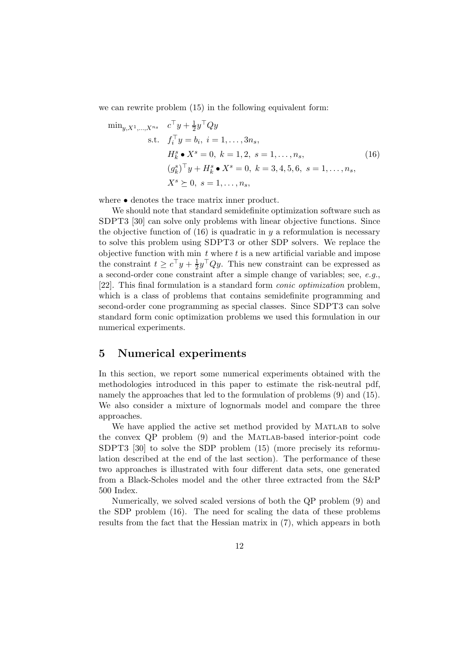we can rewrite problem (15) in the following equivalent form:

$$
\min_{y, X^1, \dots, X^{n_s}} c^{\top} y + \frac{1}{2} y^{\top} Q y
$$
  
s.t.  $f_i^{\top} y = b_i, i = 1, \dots, 3n_s,$   
 $H_k^s \bullet X^s = 0, k = 1, 2, s = 1, \dots, n_s,$   
 $(g_k^s)^{\top} y + H_k^s \bullet X^s = 0, k = 3, 4, 5, 6, s = 1, \dots, n_s,$   
 $X^s \succeq 0, s = 1, \dots, n_s,$  (16)

where  $\bullet$  denotes the trace matrix inner product.

We should note that standard semidefinite optimization software such as SDPT3 [30] can solve only problems with linear objective functions. Since the objective function of  $(16)$  is quadratic in y a reformulation is necessary to solve this problem using SDPT3 or other SDP solvers. We replace the objective function with min  $t$  where  $t$  is a new artificial variable and impose the constraint  $t \geq c^{\top}y + \frac{1}{2}$  $\frac{1}{2}y^{\top}Qy$ . This new constraint can be expressed as a second-order cone constraint after a simple change of variables; see, e.g., [22]. This final formulation is a standard form conic optimization problem, which is a class of problems that contains semidefinite programming and second-order cone programming as special classes. Since SDPT3 can solve standard form conic optimization problems we used this formulation in our numerical experiments.

## 5 Numerical experiments

In this section, we report some numerical experiments obtained with the methodologies introduced in this paper to estimate the risk-neutral pdf, namely the approaches that led to the formulation of problems (9) and (15). We also consider a mixture of lognormals model and compare the three approaches.

We have applied the active set method provided by MATLAB to solve the convex QP problem (9) and the Matlab-based interior-point code SDPT3 [30] to solve the SDP problem (15) (more precisely its reformulation described at the end of the last section). The performance of these two approaches is illustrated with four different data sets, one generated from a Black-Scholes model and the other three extracted from the S&P 500 Index.

Numerically, we solved scaled versions of both the QP problem (9) and the SDP problem (16). The need for scaling the data of these problems results from the fact that the Hessian matrix in (7), which appears in both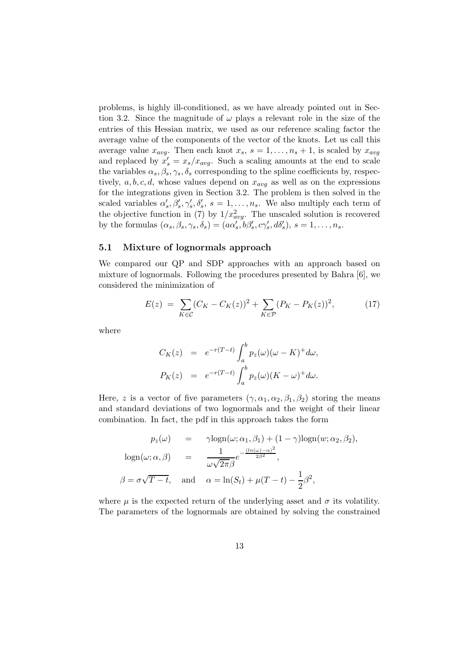problems, is highly ill-conditioned, as we have already pointed out in Section 3.2. Since the magnitude of  $\omega$  plays a relevant role in the size of the entries of this Hessian matrix, we used as our reference scaling factor the average value of the components of the vector of the knots. Let us call this average value  $x_{avg}$ . Then each knot  $x_s$ ,  $s = 1, \ldots, n_s + 1$ , is scaled by  $x_{avg}$ and replaced by  $x'_{s} = x_{s}/x_{avg}$ . Such a scaling amounts at the end to scale the variables  $\alpha_s, \beta_s, \gamma_s, \delta_s$  corresponding to the spline coefficients by, respectively,  $a, b, c, d$ , whose values depend on  $x_{avg}$  as well as on the expressions for the integrations given in Section 3.2. The problem is then solved in the scaled variables  $\alpha'_s, \beta'_s, \gamma'_s, \delta'_s, s = 1, \ldots, n_s$ . We also multiply each term of scaled variables  $\alpha_s, \beta_s, \gamma_s, \delta_s, s = 1, ..., n_s$ . We also multiply each term of the objective function in (7) by  $1/x_{avg}^2$ . The unscaled solution is recovered by the formulas  $(\alpha_s, \beta_s, \gamma_s, \delta_s) = (a\alpha'_s, b\beta'_s, c\gamma'_s, d\delta'_s), s = 1, \ldots, n_s.$ 

## 5.1 Mixture of lognormals approach

We compared our QP and SDP approaches with an approach based on mixture of lognormals. Following the procedures presented by Bahra [6], we considered the minimization of

$$
E(z) = \sum_{K \in \mathcal{C}} (C_K - C_K(z))^2 + \sum_{K \in \mathcal{P}} (P_K - P_K(z))^2, \tag{17}
$$

where

$$
C_K(z) = e^{-r(T-t)} \int_a^b p_z(\omega) (\omega - K)^+ d\omega,
$$
  
\n
$$
P_K(z) = e^{-r(T-t)} \int_a^b p_z(\omega) (K - \omega)^+ d\omega.
$$

Here, z is a vector of five parameters  $(\gamma, \alpha_1, \alpha_2, \beta_1, \beta_2)$  storing the means and standard deviations of two lognormals and the weight of their linear combination. In fact, the pdf in this approach takes the form

$$
p_z(\omega) = \gamma \log n(\omega; \alpha_1, \beta_1) + (1 - \gamma) \log n(w; \alpha_2, \beta_2),
$$
  

$$
\log n(\omega; \alpha, \beta) = \frac{1}{\omega \sqrt{2\pi \beta}} e^{-\frac{(ln(\omega) - \alpha)^2}{2\beta^2}},
$$
  

$$
\beta = \sigma \sqrt{T - t}, \text{ and } \alpha = \ln(S_t) + \mu(T - t) - \frac{1}{2}\beta^2,
$$

where  $\mu$  is the expected return of the underlying asset and  $\sigma$  its volatility. The parameters of the lognormals are obtained by solving the constrained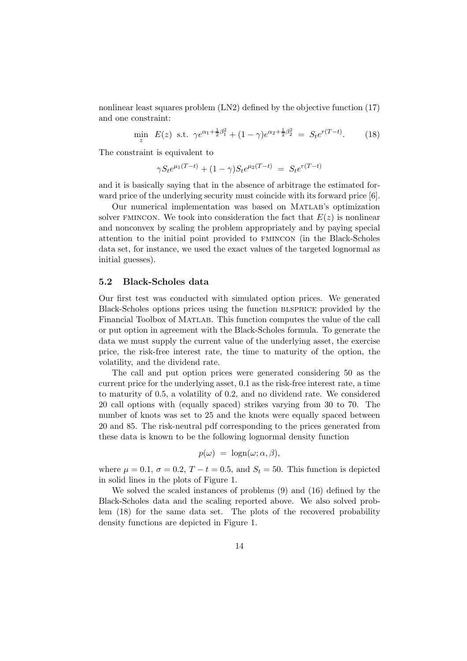nonlinear least squares problem (LN2) defined by the objective function (17) and one constraint:

$$
\min_{z} \ E(z) \ \text{s.t.} \ \gamma e^{\alpha_1 + \frac{1}{2}\beta_1^2} + (1 - \gamma)e^{\alpha_2 + \frac{1}{2}\beta_2^2} = S_t e^{r(T - t)}.
$$
 (18)

The constraint is equivalent to

$$
\gamma S_t e^{\mu_1(T-t)} + (1-\gamma) S_t e^{\mu_2(T-t)} = S_t e^{r(T-t)}
$$

and it is basically saying that in the absence of arbitrage the estimated forward price of the underlying security must coincide with its forward price [6].

Our numerical implementation was based on Matlab's optimization solver FMINCON. We took into consideration the fact that  $E(z)$  is nonlinear and nonconvex by scaling the problem appropriately and by paying special attention to the initial point provided to fmincon (in the Black-Scholes data set, for instance, we used the exact values of the targeted lognormal as initial guesses).

#### 5.2 Black-Scholes data

Our first test was conducted with simulated option prices. We generated Black-Scholes options prices using the function blsprice provided by the Financial Toolbox of Matlab. This function computes the value of the call or put option in agreement with the Black-Scholes formula. To generate the data we must supply the current value of the underlying asset, the exercise price, the risk-free interest rate, the time to maturity of the option, the volatility, and the dividend rate.

The call and put option prices were generated considering 50 as the current price for the underlying asset, 0.1 as the risk-free interest rate, a time to maturity of 0.5, a volatility of 0.2, and no dividend rate. We considered 20 call options with (equally spaced) strikes varying from 30 to 70. The number of knots was set to 25 and the knots were equally spaced between 20 and 85. The risk-neutral pdf corresponding to the prices generated from these data is known to be the following lognormal density function

$$
p(\omega) = \log n(\omega; \alpha, \beta),
$$

where  $\mu = 0.1$ ,  $\sigma = 0.2$ ,  $T - t = 0.5$ , and  $S_t = 50$ . This function is depicted in solid lines in the plots of Figure 1.

We solved the scaled instances of problems (9) and (16) defined by the Black-Scholes data and the scaling reported above. We also solved problem (18) for the same data set. The plots of the recovered probability density functions are depicted in Figure 1.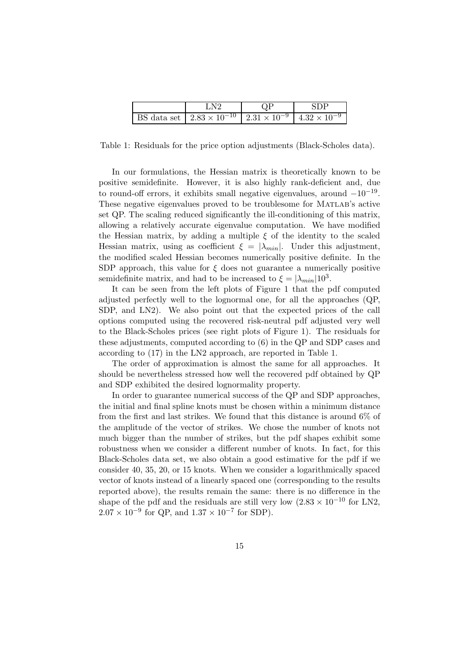| BS data set $\left[2.83 \times 10^{-10}\right] 2.31 \times 10^{-9}$ $\left[4.32 \times 10^{-9}\right]$ |  |
|--------------------------------------------------------------------------------------------------------|--|

Table 1: Residuals for the price option adjustments (Black-Scholes data).

In our formulations, the Hessian matrix is theoretically known to be positive semidefinite. However, it is also highly rank-deficient and, due to round-off errors, it exhibits small negative eigenvalues, around  $-10^{-19}$ . These negative eigenvalues proved to be troublesome for MATLAB's active set QP. The scaling reduced significantly the ill-conditioning of this matrix, allowing a relatively accurate eigenvalue computation. We have modified the Hessian matrix, by adding a multiple  $\xi$  of the identity to the scaled Hessian matrix, using as coefficient  $\xi = |\lambda_{min}|$ . Under this adjustment, the modified scaled Hessian becomes numerically positive definite. In the SDP approach, this value for  $\xi$  does not guarantee a numerically positive semidefinite matrix, and had to be increased to  $\xi = |\lambda_{min}| 10^3$ .

It can be seen from the left plots of Figure 1 that the pdf computed adjusted perfectly well to the lognormal one, for all the approaches (QP, SDP, and LN2). We also point out that the expected prices of the call options computed using the recovered risk-neutral pdf adjusted very well to the Black-Scholes prices (see right plots of Figure 1). The residuals for these adjustments, computed according to (6) in the QP and SDP cases and according to (17) in the LN2 approach, are reported in Table 1.

The order of approximation is almost the same for all approaches. It should be nevertheless stressed how well the recovered pdf obtained by QP and SDP exhibited the desired lognormality property.

In order to guarantee numerical success of the QP and SDP approaches, the initial and final spline knots must be chosen within a minimum distance from the first and last strikes. We found that this distance is around 6% of the amplitude of the vector of strikes. We chose the number of knots not much bigger than the number of strikes, but the pdf shapes exhibit some robustness when we consider a different number of knots. In fact, for this Black-Scholes data set, we also obtain a good estimative for the pdf if we consider 40, 35, 20, or 15 knots. When we consider a logarithmically spaced vector of knots instead of a linearly spaced one (corresponding to the results reported above), the results remain the same: there is no difference in the shape of the pdf and the residuals are still very low  $(2.83 \times 10^{-10}$  for LN2,  $2.07 \times 10^{-9}$  for QP, and  $1.37 \times 10^{-7}$  for SDP).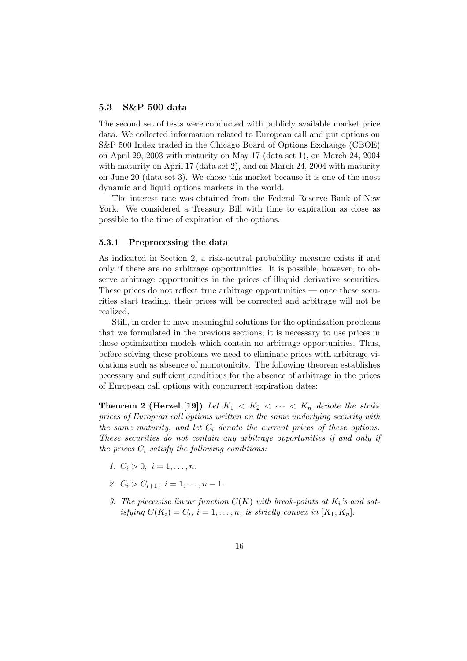### 5.3 S&P 500 data

The second set of tests were conducted with publicly available market price data. We collected information related to European call and put options on S&P 500 Index traded in the Chicago Board of Options Exchange (CBOE) on April 29, 2003 with maturity on May 17 (data set 1), on March 24, 2004 with maturity on April 17 (data set 2), and on March 24, 2004 with maturity on June 20 (data set 3). We chose this market because it is one of the most dynamic and liquid options markets in the world.

The interest rate was obtained from the Federal Reserve Bank of New York. We considered a Treasury Bill with time to expiration as close as possible to the time of expiration of the options.

#### 5.3.1 Preprocessing the data

As indicated in Section 2, a risk-neutral probability measure exists if and only if there are no arbitrage opportunities. It is possible, however, to observe arbitrage opportunities in the prices of illiquid derivative securities. These prices do not reflect true arbitrage opportunities — once these securities start trading, their prices will be corrected and arbitrage will not be realized.

Still, in order to have meaningful solutions for the optimization problems that we formulated in the previous sections, it is necessary to use prices in these optimization models which contain no arbitrage opportunities. Thus, before solving these problems we need to eliminate prices with arbitrage violations such as absence of monotonicity. The following theorem establishes necessary and sufficient conditions for the absence of arbitrage in the prices of European call options with concurrent expiration dates:

**Theorem 2 (Herzel [19])** Let  $K_1 < K_2 < \cdots < K_n$  denote the strike prices of European call options written on the same underlying security with the same maturity, and let  $C_i$  denote the current prices of these options. These securities do not contain any arbitrage opportunities if and only if the prices  $C_i$  satisfy the following conditions:

- 1.  $C_i > 0, i = 1, \ldots, n$ .
- 2.  $C_i > C_{i+1}, i = 1, \ldots, n-1.$
- 3. The piecewise linear function  $C(K)$  with break-points at  $K_i$ 's and satisfying  $C(K_i) = C_i$ ,  $i = 1, ..., n$ , is strictly convex in  $[K_1, K_n]$ .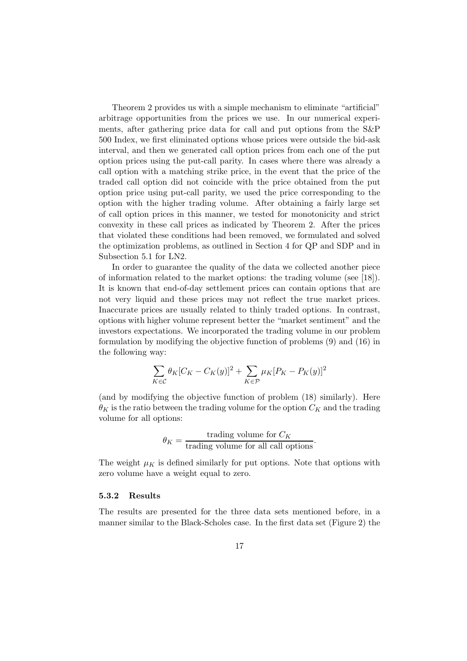Theorem 2 provides us with a simple mechanism to eliminate "artificial" arbitrage opportunities from the prices we use. In our numerical experiments, after gathering price data for call and put options from the S&P 500 Index, we first eliminated options whose prices were outside the bid-ask interval, and then we generated call option prices from each one of the put option prices using the put-call parity. In cases where there was already a call option with a matching strike price, in the event that the price of the traded call option did not coincide with the price obtained from the put option price using put-call parity, we used the price corresponding to the option with the higher trading volume. After obtaining a fairly large set of call option prices in this manner, we tested for monotonicity and strict convexity in these call prices as indicated by Theorem 2. After the prices that violated these conditions had been removed, we formulated and solved the optimization problems, as outlined in Section 4 for QP and SDP and in Subsection 5.1 for LN2.

In order to guarantee the quality of the data we collected another piece of information related to the market options: the trading volume (see [18]). It is known that end-of-day settlement prices can contain options that are not very liquid and these prices may not reflect the true market prices. Inaccurate prices are usually related to thinly traded options. In contrast, options with higher volume represent better the "market sentiment" and the investors expectations. We incorporated the trading volume in our problem formulation by modifying the objective function of problems (9) and (16) in the following way:

$$
\sum_{K \in \mathcal{C}} \theta_K [C_K - C_K(y)]^2 + \sum_{K \in \mathcal{P}} \mu_K [P_K - P_K(y)]^2
$$

(and by modifying the objective function of problem (18) similarly). Here  $\theta_K$  is the ratio between the trading volume for the option  $C_K$  and the trading volume for all options:

$$
\theta_K = \frac{\text{trading volume for } C_K}{\text{trading volume for all call options}}.
$$

The weight  $\mu_K$  is defined similarly for put options. Note that options with zero volume have a weight equal to zero.

#### 5.3.2 Results

The results are presented for the three data sets mentioned before, in a manner similar to the Black-Scholes case. In the first data set (Figure 2) the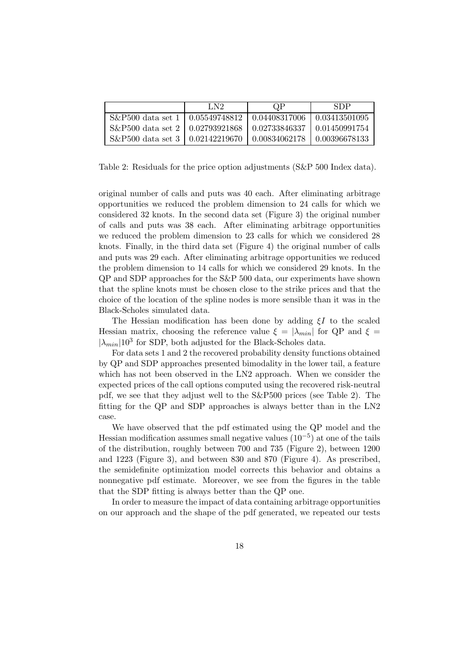|                                                                      | LN2 | ΩP | <b>SDP</b> |
|----------------------------------------------------------------------|-----|----|------------|
| S&P500 data set 1   0.05549748812   0.04408317006   0.03413501095    |     |    |            |
| S&P500 data set 2   0.02793921868   0.02733846337   0.01450991754    |     |    |            |
| $S\&P500$ data set 3   0.02142219670   0.00834062178   0.00396678133 |     |    |            |

Table 2: Residuals for the price option adjustments (S&P 500 Index data).

original number of calls and puts was 40 each. After eliminating arbitrage opportunities we reduced the problem dimension to 24 calls for which we considered 32 knots. In the second data set (Figure 3) the original number of calls and puts was 38 each. After eliminating arbitrage opportunities we reduced the problem dimension to 23 calls for which we considered 28 knots. Finally, in the third data set (Figure 4) the original number of calls and puts was 29 each. After eliminating arbitrage opportunities we reduced the problem dimension to 14 calls for which we considered 29 knots. In the QP and SDP approaches for the S&P 500 data, our experiments have shown that the spline knots must be chosen close to the strike prices and that the choice of the location of the spline nodes is more sensible than it was in the Black-Scholes simulated data.

The Hessian modification has been done by adding  $\xi I$  to the scaled Hessian matrix, choosing the reference value  $\xi = |\lambda_{min}|$  for QP and  $\xi =$  $|\lambda_{min}|10^3$  for SDP, both adjusted for the Black-Scholes data.

For data sets 1 and 2 the recovered probability density functions obtained by QP and SDP approaches presented bimodality in the lower tail, a feature which has not been observed in the LN2 approach. When we consider the expected prices of the call options computed using the recovered risk-neutral pdf, we see that they adjust well to the S&P500 prices (see Table 2). The fitting for the QP and SDP approaches is always better than in the LN2 case.

We have observed that the pdf estimated using the QP model and the Hessian modification assumes small negative values  $(10^{-5})$  at one of the tails of the distribution, roughly between 700 and 735 (Figure 2), between 1200 and 1223 (Figure 3), and between 830 and 870 (Figure 4). As prescribed, the semidefinite optimization model corrects this behavior and obtains a nonnegative pdf estimate. Moreover, we see from the figures in the table that the SDP fitting is always better than the QP one.

In order to measure the impact of data containing arbitrage opportunities on our approach and the shape of the pdf generated, we repeated our tests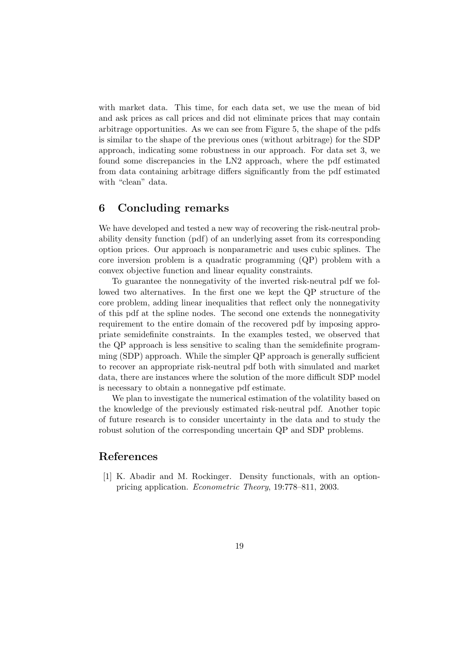with market data. This time, for each data set, we use the mean of bid and ask prices as call prices and did not eliminate prices that may contain arbitrage opportunities. As we can see from Figure 5, the shape of the pdfs is similar to the shape of the previous ones (without arbitrage) for the SDP approach, indicating some robustness in our approach. For data set 3, we found some discrepancies in the LN2 approach, where the pdf estimated from data containing arbitrage differs significantly from the pdf estimated with "clean" data.

# 6 Concluding remarks

We have developed and tested a new way of recovering the risk-neutral probability density function (pdf) of an underlying asset from its corresponding option prices. Our approach is nonparametric and uses cubic splines. The core inversion problem is a quadratic programming (QP) problem with a convex objective function and linear equality constraints.

To guarantee the nonnegativity of the inverted risk-neutral pdf we followed two alternatives. In the first one we kept the QP structure of the core problem, adding linear inequalities that reflect only the nonnegativity of this pdf at the spline nodes. The second one extends the nonnegativity requirement to the entire domain of the recovered pdf by imposing appropriate semidefinite constraints. In the examples tested, we observed that the QP approach is less sensitive to scaling than the semidefinite programming (SDP) approach. While the simpler QP approach is generally sufficient to recover an appropriate risk-neutral pdf both with simulated and market data, there are instances where the solution of the more difficult SDP model is necessary to obtain a nonnegative pdf estimate.

We plan to investigate the numerical estimation of the volatility based on the knowledge of the previously estimated risk-neutral pdf. Another topic of future research is to consider uncertainty in the data and to study the robust solution of the corresponding uncertain QP and SDP problems.

## References

[1] K. Abadir and M. Rockinger. Density functionals, with an optionpricing application. Econometric Theory, 19:778–811, 2003.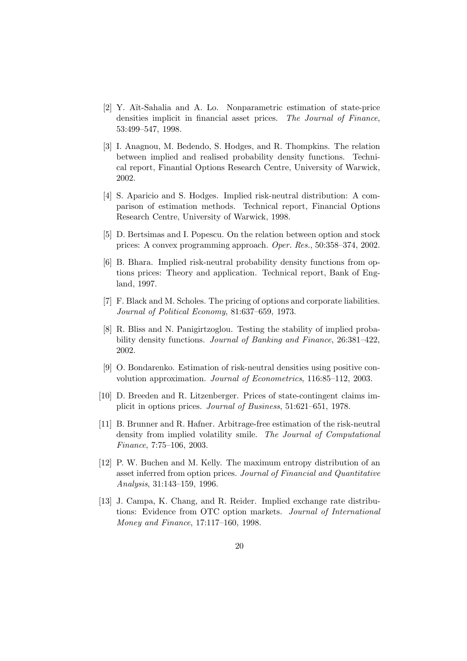- [2] Y. A¨ıt-Sahalia and A. Lo. Nonparametric estimation of state-price densities implicit in financial asset prices. The Journal of Finance, 53:499–547, 1998.
- [3] I. Anagnou, M. Bedendo, S. Hodges, and R. Thompkins. The relation between implied and realised probability density functions. Technical report, Finantial Options Research Centre, University of Warwick, 2002.
- [4] S. Aparicio and S. Hodges. Implied risk-neutral distribution: A comparison of estimation methods. Technical report, Financial Options Research Centre, University of Warwick, 1998.
- [5] D. Bertsimas and I. Popescu. On the relation between option and stock prices: A convex programming approach. Oper. Res., 50:358–374, 2002.
- [6] B. Bhara. Implied risk-neutral probability density functions from options prices: Theory and application. Technical report, Bank of England, 1997.
- [7] F. Black and M. Scholes. The pricing of options and corporate liabilities. Journal of Political Economy, 81:637–659, 1973.
- [8] R. Bliss and N. Panigirtzoglou. Testing the stability of implied probability density functions. Journal of Banking and Finance, 26:381–422, 2002.
- [9] O. Bondarenko. Estimation of risk-neutral densities using positive convolution approximation. Journal of Econometrics, 116:85–112, 2003.
- [10] D. Breeden and R. Litzenberger. Prices of state-contingent claims implicit in options prices. Journal of Business, 51:621–651, 1978.
- [11] B. Brunner and R. Hafner. Arbitrage-free estimation of the risk-neutral density from implied volatility smile. The Journal of Computational Finance, 7:75–106, 2003.
- [12] P. W. Buchen and M. Kelly. The maximum entropy distribution of an asset inferred from option prices. Journal of Financial and Quantitative Analysis, 31:143–159, 1996.
- [13] J. Campa, K. Chang, and R. Reider. Implied exchange rate distributions: Evidence from OTC option markets. Journal of International Money and Finance, 17:117–160, 1998.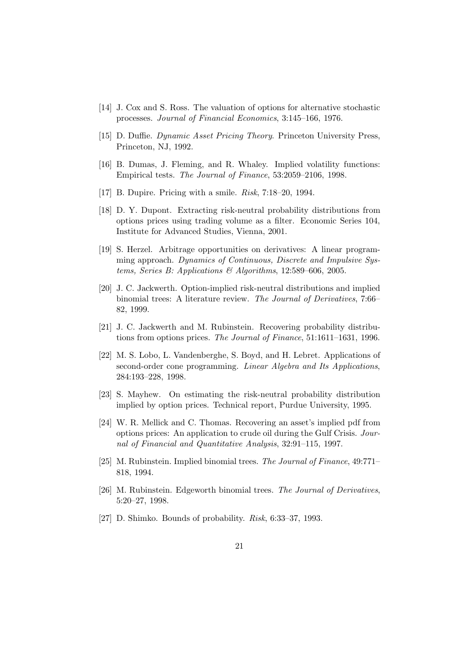- [14] J. Cox and S. Ross. The valuation of options for alternative stochastic processes. Journal of Financial Economics, 3:145–166, 1976.
- [15] D. Duffie. Dynamic Asset Pricing Theory. Princeton University Press, Princeton, NJ, 1992.
- [16] B. Dumas, J. Fleming, and R. Whaley. Implied volatility functions: Empirical tests. The Journal of Finance, 53:2059–2106, 1998.
- [17] B. Dupire. Pricing with a smile. Risk, 7:18–20, 1994.
- [18] D. Y. Dupont. Extracting risk-neutral probability distributions from options prices using trading volume as a filter. Economic Series 104, Institute for Advanced Studies, Vienna, 2001.
- [19] S. Herzel. Arbitrage opportunities on derivatives: A linear programming approach. Dynamics of Continuous, Discrete and Impulsive Systems, Series B: Applications & Algorithms, 12:589-606, 2005.
- [20] J. C. Jackwerth. Option-implied risk-neutral distributions and implied binomial trees: A literature review. The Journal of Derivatives, 7:66– 82, 1999.
- [21] J. C. Jackwerth and M. Rubinstein. Recovering probability distributions from options prices. The Journal of Finance, 51:1611–1631, 1996.
- [22] M. S. Lobo, L. Vandenberghe, S. Boyd, and H. Lebret. Applications of second-order cone programming. Linear Algebra and Its Applications, 284:193–228, 1998.
- [23] S. Mayhew. On estimating the risk-neutral probability distribution implied by option prices. Technical report, Purdue University, 1995.
- [24] W. R. Mellick and C. Thomas. Recovering an asset's implied pdf from options prices: An application to crude oil during the Gulf Crisis. Journal of Financial and Quantitative Analysis, 32:91–115, 1997.
- [25] M. Rubinstein. Implied binomial trees. The Journal of Finance, 49:771– 818, 1994.
- [26] M. Rubinstein. Edgeworth binomial trees. The Journal of Derivatives, 5:20–27, 1998.
- [27] D. Shimko. Bounds of probability. Risk, 6:33–37, 1993.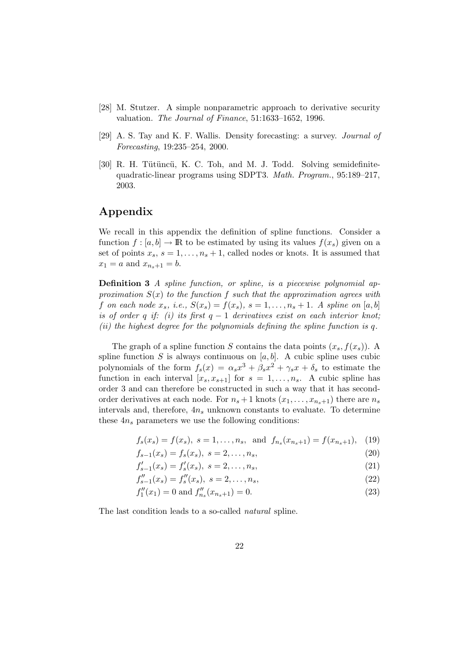- [28] M. Stutzer. A simple nonparametric approach to derivative security valuation. The Journal of Finance, 51:1633–1652, 1996.
- [29] A. S. Tay and K. F. Wallis. Density forecasting: a survey. Journal of Forecasting, 19:235–254, 2000.
- [30] R. H. Tütüncü, K. C. Toh, and M. J. Todd. Solving semidefinitequadratic-linear programs using SDPT3. Math. Program., 95:189–217, 2003.

# Appendix

We recall in this appendix the definition of spline functions. Consider a function  $f : [a, b] \to \mathbb{R}$  to be estimated by using its values  $f(x_s)$  given on a set of points  $x_s$ ,  $s = 1, \ldots, n_s + 1$ , called nodes or knots. It is assumed that  $x_1 = a$  and  $x_{n_s+1} = b$ .

Definition 3 A spline function, or spline, is a piecewise polynomial approximation  $S(x)$  to the function f such that the approximation agrees with f on each node  $x_s$ , i.e.,  $S(x_s) = f(x_s)$ ,  $s = 1, \ldots, n_s + 1$ . A spline on [a, b] is of order q if: (i) its first  $q - 1$  derivatives exist on each interior knot;  $(ii)$  the highest degree for the polynomials defining the spline function is q.

The graph of a spline function S contains the data points  $(x_s, f(x_s))$ . A spline function S is always continuous on  $[a, b]$ . A cubic spline uses cubic polynomials of the form  $f_s(x) = \alpha_s x^3 + \beta_s x^2 + \gamma_s x + \delta_s$  to estimate the function in each interval  $[x_s, x_{s+1}]$  for  $s = 1, \ldots, n_s$ . A cubic spline has order 3 and can therefore be constructed in such a way that it has secondorder derivatives at each node. For  $n_s + 1$  knots  $(x_1, \ldots, x_{n_s+1})$  there are  $n_s$ intervals and, therefore,  $4n_s$  unknown constants to evaluate. To determine these  $4n_s$  parameters we use the following conditions:

$$
f_s(x_s) = f(x_s), s = 1, ..., n_s, \text{ and } f_{n_s}(x_{n_s+1}) = f(x_{n_s+1}),
$$
 (19)

$$
f_{s-1}(x_s) = f_s(x_s), \ s = 2, \dots, n_s,
$$
\n(20)

$$
f'_{s-1}(x_s) = f'_{s}(x_s), \ s = 2, \dots, n_s,
$$
\n(21)

$$
f''_{s-1}(x_s) = f''_s(x_s), \ s = 2, \dots, n_s,
$$
\n(22)

$$
f_1''(x_1) = 0 \text{ and } f_{n_s}''(x_{n_s+1}) = 0. \tag{23}
$$

The last condition leads to a so-called natural spline.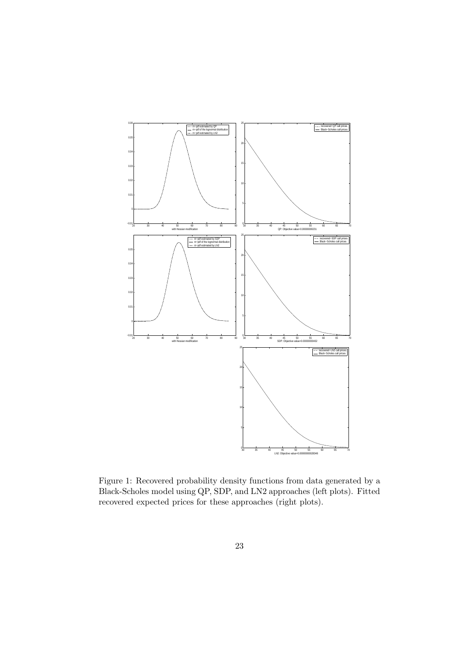

Figure 1: Recovered probability density functions from data generated by a Black-Scholes model using QP, SDP, and LN2 approaches (left plots). Fitted recovered expected prices for these approaches (right plots).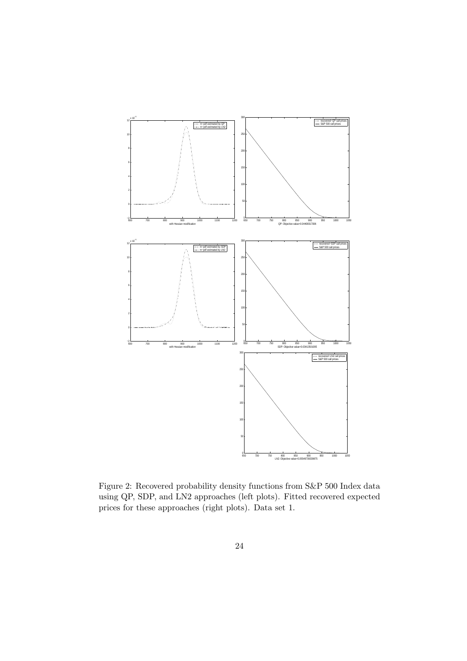

Figure 2: Recovered probability density functions from S&P 500 Index data using QP, SDP, and LN2 approaches (left plots). Fitted recovered expected prices for these approaches (right plots). Data set 1.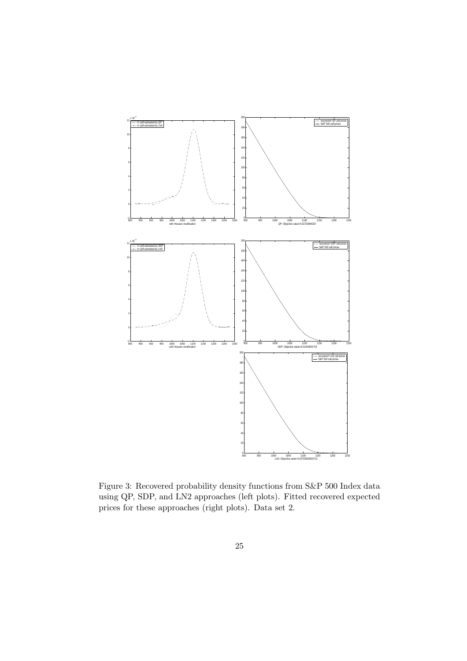

Figure 3: Recovered probability density functions from S&P 500 Index data using QP, SDP, and LN2 approaches (left plots). Fitted recovered expected prices for these approaches (right plots). Data set 2.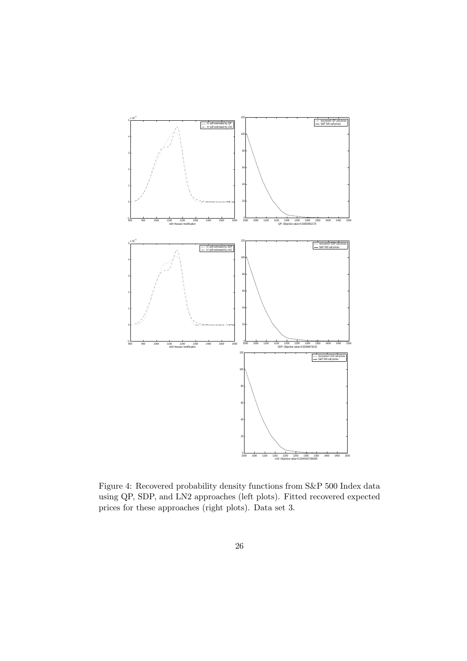

Figure 4: Recovered probability density functions from S&P 500 Index data using QP, SDP, and LN2 approaches (left plots). Fitted recovered expected prices for these approaches (right plots). Data set 3.